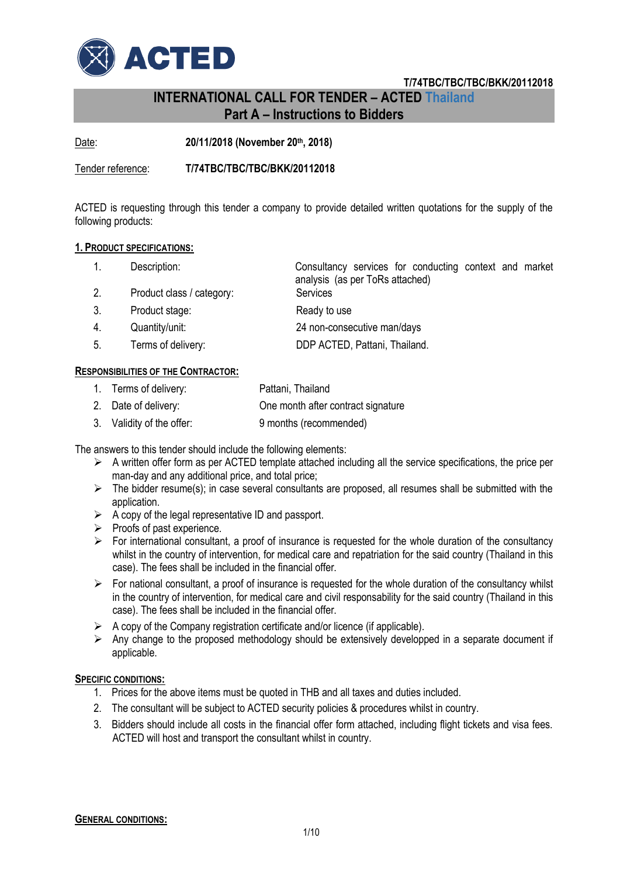

# **INTERNATIONAL CALL FOR TENDER – ACTED Thailand Part A – Instructions to Bidders**

Date: **20/11/2018 (November 20th, 2018)**

Tender reference: **T/74TBC/TBC/TBC/BKK/20112018**

ACTED is requesting through this tender a company to provide detailed written quotations for the supply of the following products:

#### **1. PRODUCT SPECIFICATIONS:**

|                                   | Description:              | Consultancy services for conducting context and market<br>analysis (as per ToRs attached) |  |  |  |
|-----------------------------------|---------------------------|-------------------------------------------------------------------------------------------|--|--|--|
| 2.                                | Product class / category: | Services                                                                                  |  |  |  |
| 3.                                | Product stage:            | Ready to use                                                                              |  |  |  |
| 4.                                | Quantity/unit:            | 24 non-consecutive man/days                                                               |  |  |  |
| 5.                                | Terms of delivery:        | DDP ACTED, Pattani, Thailand.                                                             |  |  |  |
| SPONSIBILITIES OF THE CONTRACTOR: |                           |                                                                                           |  |  |  |

# $R$ **ES**

| Terms of delivery: | Pattani, Thailand |
|--------------------|-------------------|
|--------------------|-------------------|

- 2. Date of delivery: One month after contract signature
- 3. Validity of the offer: 9 months (recommended)

The answers to this tender should include the following elements:

- $\triangleright$  A written offer form as per ACTED template attached including all the service specifications, the price per man-day and any additional price, and total price;
- $\triangleright$  The bidder resume(s); in case several consultants are proposed, all resumes shall be submitted with the application.
- $\triangleright$  A copy of the legal representative ID and passport.
- $\triangleright$  Proofs of past experience.
- $\triangleright$  For international consultant, a proof of insurance is requested for the whole duration of the consultancy whilst in the country of intervention, for medical care and repatriation for the said country (Thailand in this case). The fees shall be included in the financial offer.
- $\triangleright$  For national consultant, a proof of insurance is requested for the whole duration of the consultancy whilst in the country of intervention, for medical care and civil responsability for the said country (Thailand in this case). The fees shall be included in the financial offer.
- $\triangleright$  A copy of the Company registration certificate and/or licence (if applicable).
- $\triangleright$  Any change to the proposed methodology should be extensively developped in a separate document if applicable.

#### **SPECIFIC CONDITIONS:**

- 1. Prices for the above items must be quoted in THB and all taxes and duties included.
- 2. The consultant will be subject to ACTED security policies & procedures whilst in country.
- 3. Bidders should include all costs in the financial offer form attached, including flight tickets and visa fees. ACTED will host and transport the consultant whilst in country.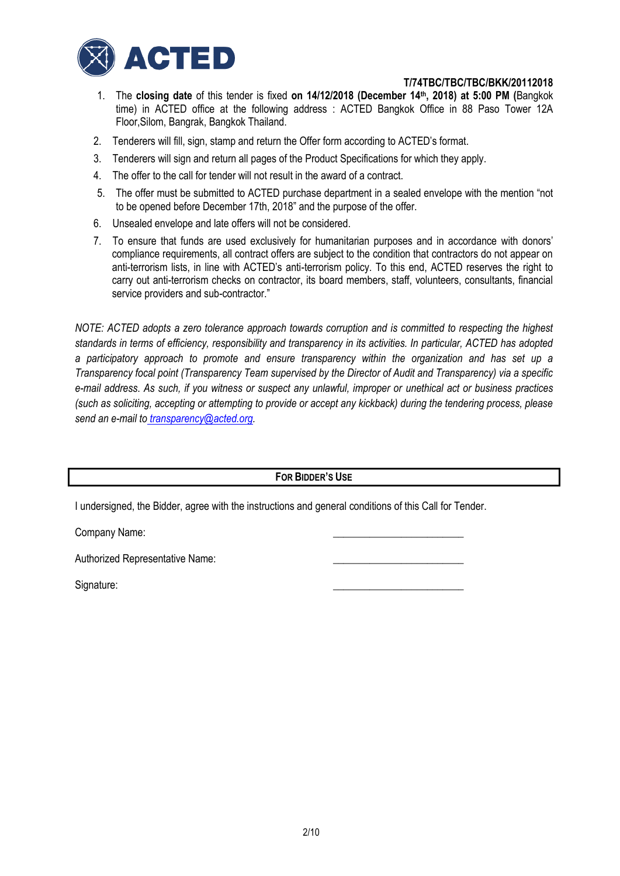

- 1. The **closing date** of this tender is fixed **on 14/12/2018 (December 14th, 2018) at 5:00 PM (**Bangkok time) in ACTED office at the following address : ACTED Bangkok Office in 88 Paso Tower 12A Floor,Silom, Bangrak, Bangkok Thailand.
- 2. Tenderers will fill, sign, stamp and return the Offer form according to ACTED's format.
- 3. Tenderers will sign and return all pages of the Product Specifications for which they apply.
- 4. The offer to the call for tender will not result in the award of a contract.
- 5. The offer must be submitted to ACTED purchase department in a sealed envelope with the mention "not to be opened before December 17th, 2018" and the purpose of the offer.
- 6. Unsealed envelope and late offers will not be considered.
- 7. To ensure that funds are used exclusively for humanitarian purposes and in accordance with donors' compliance requirements, all contract offers are subject to the condition that contractors do not appear on anti-terrorism lists, in line with ACTED's anti-terrorism policy. To this end, ACTED reserves the right to carry out anti-terrorism checks on contractor, its board members, staff, volunteers, consultants, financial service providers and sub-contractor."

*NOTE: ACTED adopts a zero tolerance approach towards corruption and is committed to respecting the highest standards in terms of efficiency, responsibility and transparency in its activities. In particular, ACTED has adopted a participatory approach to promote and ensure transparency within the organization and has set up a Transparency focal point (Transparency Team supervised by the Director of Audit and Transparency) via a specific e-mail address*. *As such, if you witness or suspect any unlawful, improper or unethical act or business practices (such as soliciting, accepting or attempting to provide or accept any kickback) during the tendering process, please send an e-mail to [transparency@acted.org.](mailto:transparency@acted.org)*

# **FOR BIDDER'S USE**

I undersigned, the Bidder, agree with the instructions and general conditions of this Call for Tender.

Company Name:

Authorized Representative Name:

Signature: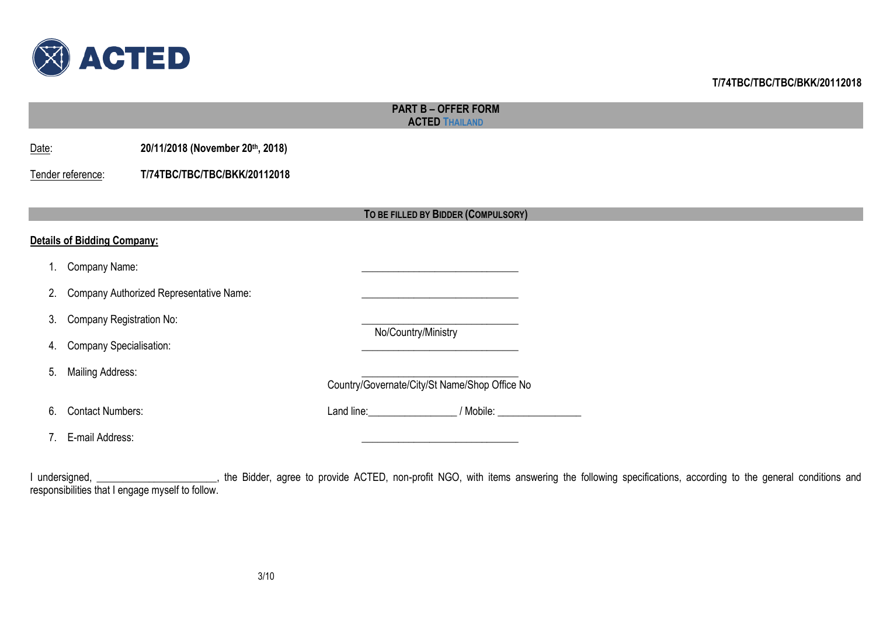

|                                | <b>PART B - OFFER FORM</b><br><b>ACTED THAILAND</b> |                                         |  |                     |                                               |  |  |  |  |
|--------------------------------|-----------------------------------------------------|-----------------------------------------|--|---------------------|-----------------------------------------------|--|--|--|--|
| Date:                          |                                                     | 20/11/2018 (November 20th, 2018)        |  |                     |                                               |  |  |  |  |
|                                | Tender reference:                                   | T/74TBC/TBC/TBC/BKK/20112018            |  |                     |                                               |  |  |  |  |
|                                |                                                     |                                         |  |                     | TO BE FILLED BY BIDDER (COMPULSORY)           |  |  |  |  |
|                                | <b>Details of Bidding Company:</b>                  |                                         |  |                     |                                               |  |  |  |  |
|                                | Company Name:                                       |                                         |  |                     |                                               |  |  |  |  |
| 2.                             |                                                     | Company Authorized Representative Name: |  |                     |                                               |  |  |  |  |
| 3.                             | <b>Company Registration No:</b>                     |                                         |  |                     |                                               |  |  |  |  |
| 4.                             | <b>Company Specialisation:</b>                      |                                         |  | No/Country/Ministry |                                               |  |  |  |  |
| 5.                             | <b>Mailing Address:</b>                             |                                         |  |                     | Country/Governate/City/St Name/Shop Office No |  |  |  |  |
| 6.                             | <b>Contact Numbers:</b>                             |                                         |  |                     | Land line: // Mobile: // Mobile:              |  |  |  |  |
| $7_{\scriptscriptstyle{\sim}}$ | E-mail Address:                                     |                                         |  |                     |                                               |  |  |  |  |
|                                |                                                     |                                         |  |                     |                                               |  |  |  |  |

I undersigned, \_\_\_\_\_\_\_\_\_\_\_\_\_\_\_\_\_\_\_\_\_, the Bidder, agree to provide ACTED, non-profit NGO, with items answering the following specifications, according to the general conditions and responsibilities that I engage myself to follow.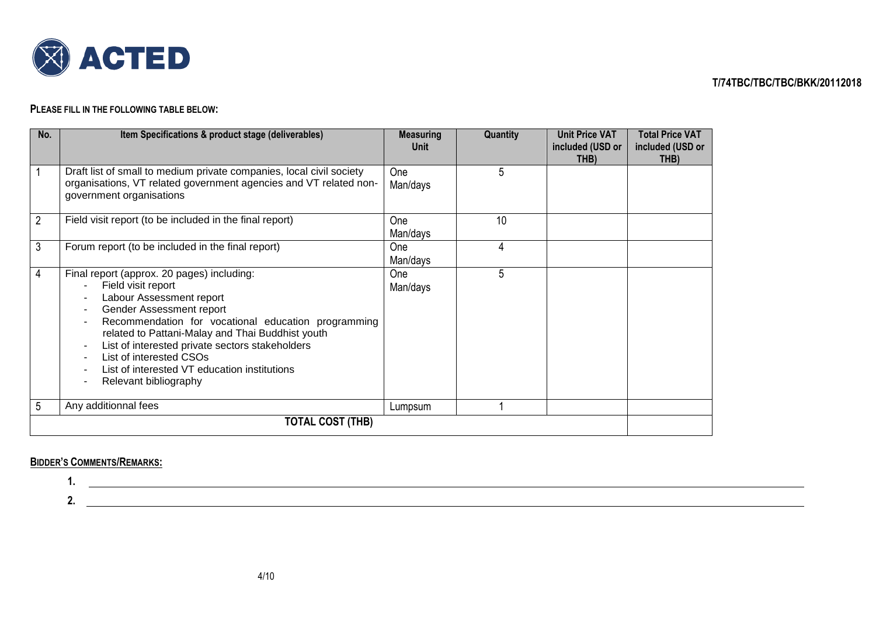

### **PLEASE FILL IN THE FOLLOWING TABLE BELOW:**

| No.              | Item Specifications & product stage (deliverables)                                                                                                                                                                                                                                                                                                                                              | <b>Measuring</b><br>Unit | Quantity | <b>Unit Price VAT</b><br>included (USD or | <b>Total Price VAT</b><br>included (USD or |
|------------------|-------------------------------------------------------------------------------------------------------------------------------------------------------------------------------------------------------------------------------------------------------------------------------------------------------------------------------------------------------------------------------------------------|--------------------------|----------|-------------------------------------------|--------------------------------------------|
|                  | Draft list of small to medium private companies, local civil society<br>organisations, VT related government agencies and VT related non-<br>government organisations                                                                                                                                                                                                                           | <b>One</b><br>Man/days   | 5        | THB)                                      | THB)                                       |
| 2                | Field visit report (to be included in the final report)                                                                                                                                                                                                                                                                                                                                         | <b>One</b><br>Man/days   | 10       |                                           |                                            |
| 3                | Forum report (to be included in the final report)                                                                                                                                                                                                                                                                                                                                               | <b>One</b><br>Man/days   | 4        |                                           |                                            |
| 4                | Final report (approx. 20 pages) including:<br>Field visit report<br>Labour Assessment report<br>Gender Assessment report<br>٠<br>Recommendation for vocational education programming<br>related to Pattani-Malay and Thai Buddhist youth<br>List of interested private sectors stakeholders<br>List of interested CSOs<br>List of interested VT education institutions<br>Relevant bibliography | One<br>Man/days          | 5        |                                           |                                            |
| 5                | Any additionnal fees                                                                                                                                                                                                                                                                                                                                                                            | Lumpsum                  |          |                                           |                                            |
| TOTAL COST (THB) |                                                                                                                                                                                                                                                                                                                                                                                                 |                          |          |                                           |                                            |

# **BIDDER'S COMMENTS/REMARKS:**

**1.**

**2.**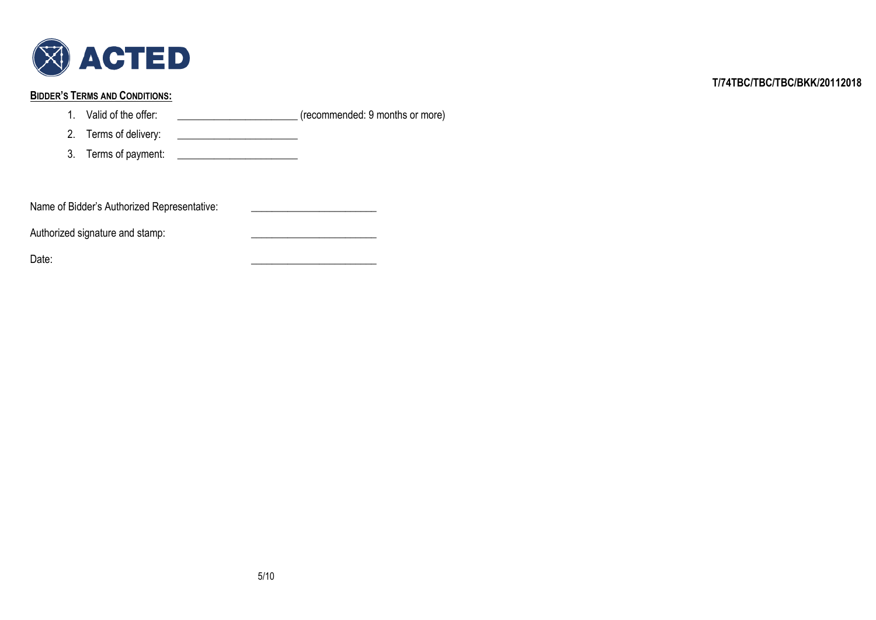

# **BIDDER'S TERMS AND CONDITIONS:**

1. Valid of the offer: \_\_\_\_\_\_\_\_\_\_\_\_\_\_\_\_\_\_\_\_\_\_\_\_\_\_\_\_(recommended: 9 months or more)

2. Terms of delivery: \_\_\_\_\_\_\_\_\_\_\_\_\_\_\_\_\_\_\_\_\_\_\_

3. Terms of payment: \_\_\_\_\_\_\_\_\_\_\_\_\_\_\_\_\_\_\_\_\_\_\_

| Name of Bidder's Authorized Representative: |  |
|---------------------------------------------|--|
|---------------------------------------------|--|

Authorized signature and stamp: \_\_\_\_\_\_\_\_\_\_\_\_\_\_\_\_\_\_\_\_\_\_\_\_

Date: \_\_\_\_\_\_\_\_\_\_\_\_\_\_\_\_\_\_\_\_\_\_\_\_

**T/74TBC/TBC/TBC/BKK/20112018**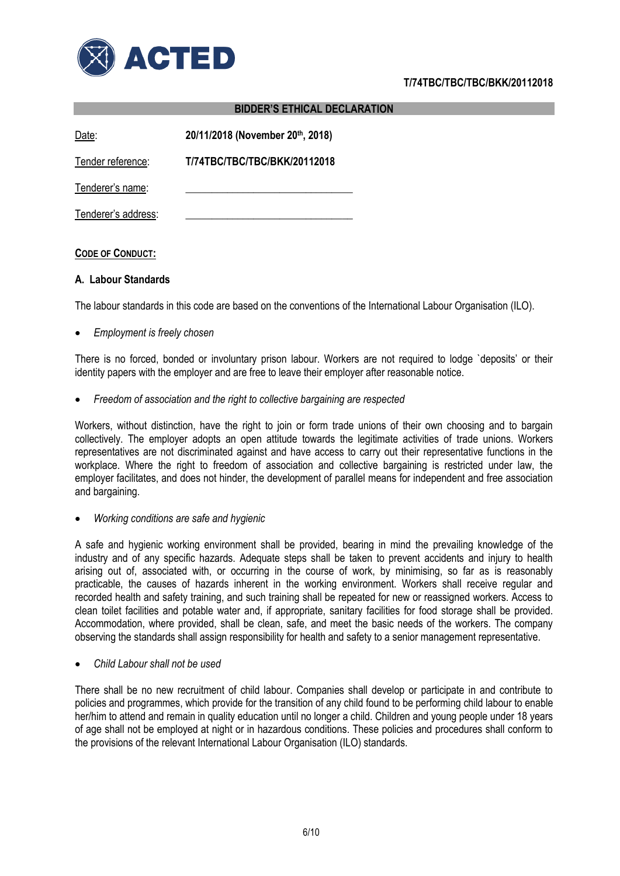

|                     | <b>BIDDER'S ETHICAL DECLARATION</b> |  |  |  |  |
|---------------------|-------------------------------------|--|--|--|--|
| Date:               | 20/11/2018 (November 20th, 2018)    |  |  |  |  |
| Tender reference:   | T/74TBC/TBC/TBC/BKK/20112018        |  |  |  |  |
| Tenderer's name:    |                                     |  |  |  |  |
| Tenderer's address: |                                     |  |  |  |  |

# **CODE OF CONDUCT:**

#### **A. Labour Standards**

The labour standards in this code are based on the conventions of the International Labour Organisation (ILO).

*Employment is freely chosen*

There is no forced, bonded or involuntary prison labour. Workers are not required to lodge `deposits' or their identity papers with the employer and are free to leave their employer after reasonable notice.

*Freedom of association and the right to collective bargaining are respected*

Workers, without distinction, have the right to join or form trade unions of their own choosing and to bargain collectively. The employer adopts an open attitude towards the legitimate activities of trade unions. Workers representatives are not discriminated against and have access to carry out their representative functions in the workplace. Where the right to freedom of association and collective bargaining is restricted under law, the employer facilitates, and does not hinder, the development of parallel means for independent and free association and bargaining.

*Working conditions are safe and hygienic*

A safe and hygienic working environment shall be provided, bearing in mind the prevailing knowledge of the industry and of any specific hazards. Adequate steps shall be taken to prevent accidents and injury to health arising out of, associated with, or occurring in the course of work, by minimising, so far as is reasonably practicable, the causes of hazards inherent in the working environment. Workers shall receive regular and recorded health and safety training, and such training shall be repeated for new or reassigned workers. Access to clean toilet facilities and potable water and, if appropriate, sanitary facilities for food storage shall be provided. Accommodation, where provided, shall be clean, safe, and meet the basic needs of the workers. The company observing the standards shall assign responsibility for health and safety to a senior management representative.

*Child Labour shall not be used*

There shall be no new recruitment of child labour. Companies shall develop or participate in and contribute to policies and programmes, which provide for the transition of any child found to be performing child labour to enable her/him to attend and remain in quality education until no longer a child. Children and young people under 18 years of age shall not be employed at night or in hazardous conditions. These policies and procedures shall conform to the provisions of the relevant International Labour Organisation (ILO) standards.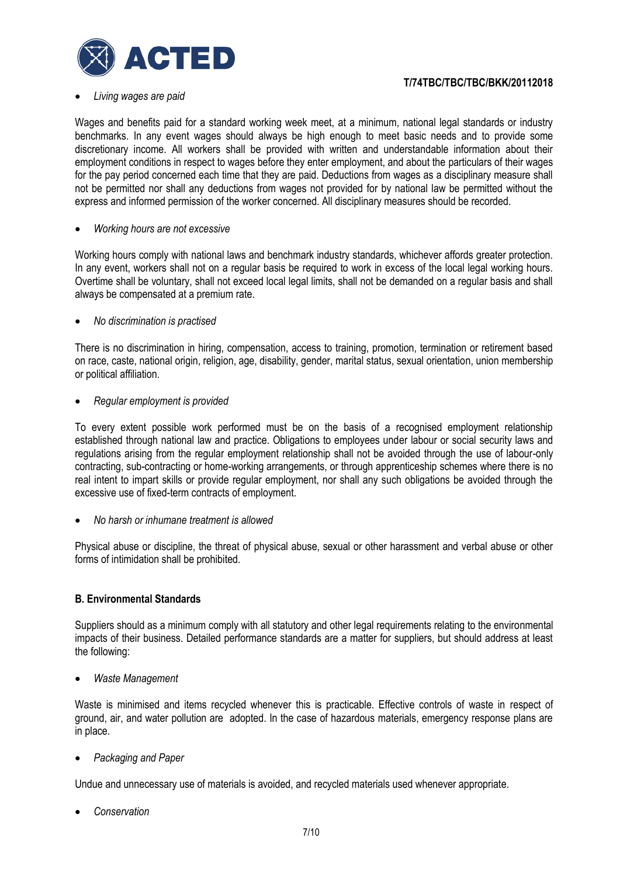

#### *Living wages are paid*

Wages and benefits paid for a standard working week meet, at a minimum, national legal standards or industry benchmarks. In any event wages should always be high enough to meet basic needs and to provide some discretionary income. All workers shall be provided with written and understandable information about their employment conditions in respect to wages before they enter employment, and about the particulars of their wages for the pay period concerned each time that they are paid. Deductions from wages as a disciplinary measure shall not be permitted nor shall any deductions from wages not provided for by national law be permitted without the express and informed permission of the worker concerned. All disciplinary measures should be recorded.

#### *Working hours are not excessive*

Working hours comply with national laws and benchmark industry standards, whichever affords greater protection. In any event, workers shall not on a regular basis be required to work in excess of the local legal working hours. Overtime shall be voluntary, shall not exceed local legal limits, shall not be demanded on a regular basis and shall always be compensated at a premium rate.

#### *No discrimination is practised*

There is no discrimination in hiring, compensation, access to training, promotion, termination or retirement based on race, caste, national origin, religion, age, disability, gender, marital status, sexual orientation, union membership or political affiliation.

*Regular employment is provided*

To every extent possible work performed must be on the basis of a recognised employment relationship established through national law and practice. Obligations to employees under labour or social security laws and regulations arising from the regular employment relationship shall not be avoided through the use of labour-only contracting, sub-contracting or home-working arrangements, or through apprenticeship schemes where there is no real intent to impart skills or provide regular employment, nor shall any such obligations be avoided through the excessive use of fixed-term contracts of employment.

*No harsh or inhumane treatment is allowed*

Physical abuse or discipline, the threat of physical abuse, sexual or other harassment and verbal abuse or other forms of intimidation shall be prohibited.

#### **B. Environmental Standards**

Suppliers should as a minimum comply with all statutory and other legal requirements relating to the environmental impacts of their business. Detailed performance standards are a matter for suppliers, but should address at least the following:

*Waste Management*

Waste is minimised and items recycled whenever this is practicable. Effective controls of waste in respect of ground, air, and water pollution are adopted. In the case of hazardous materials, emergency response plans are in place.

*Packaging and Paper*

Undue and unnecessary use of materials is avoided, and recycled materials used whenever appropriate.

*Conservation*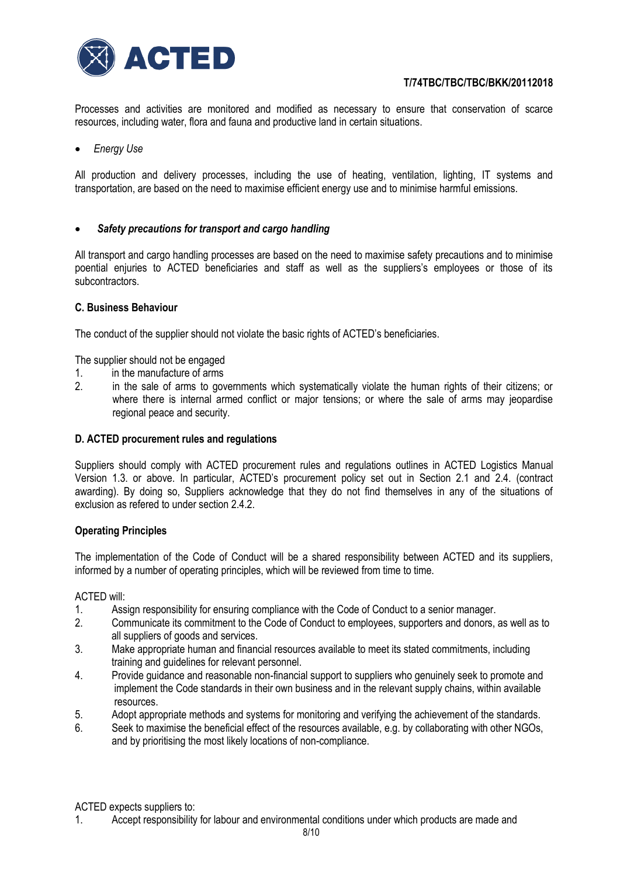

Processes and activities are monitored and modified as necessary to ensure that conservation of scarce resources, including water, flora and fauna and productive land in certain situations.

*Energy Use* 

All production and delivery processes, including the use of heating, ventilation, lighting, IT systems and transportation, are based on the need to maximise efficient energy use and to minimise harmful emissions.

# *Safety precautions for transport and cargo handling*

All transport and cargo handling processes are based on the need to maximise safety precautions and to minimise poential enjuries to ACTED beneficiaries and staff as well as the suppliers's employees or those of its subcontractors.

#### **C. Business Behaviour**

The conduct of the supplier should not violate the basic rights of ACTED's beneficiaries.

The supplier should not be engaged

- 1. in the manufacture of arms
- 2. in the sale of arms to governments which systematically violate the human rights of their citizens; or where there is internal armed conflict or major tensions; or where the sale of arms may jeopardise regional peace and security.

#### **D. ACTED procurement rules and regulations**

Suppliers should comply with ACTED procurement rules and regulations outlines in ACTED Logistics Manual Version 1.3. or above. In particular, ACTED's procurement policy set out in Section 2.1 and 2.4. (contract awarding). By doing so, Suppliers acknowledge that they do not find themselves in any of the situations of exclusion as refered to under section 2.4.2.

#### **Operating Principles**

The implementation of the Code of Conduct will be a shared responsibility between ACTED and its suppliers, informed by a number of operating principles, which will be reviewed from time to time.

#### ACTED will:

- 1. Assign responsibility for ensuring compliance with the Code of Conduct to a senior manager.
- 2. Communicate its commitment to the Code of Conduct to employees, supporters and donors, as well as to all suppliers of goods and services.
- 3. Make appropriate human and financial resources available to meet its stated commitments, including training and guidelines for relevant personnel.
- 4. Provide guidance and reasonable non-financial support to suppliers who genuinely seek to promote and implement the Code standards in their own business and in the relevant supply chains, within available resources.
- 5. Adopt appropriate methods and systems for monitoring and verifying the achievement of the standards.
- 6. Seek to maximise the beneficial effect of the resources available, e.g. by collaborating with other NGOs, and by prioritising the most likely locations of non-compliance.

ACTED expects suppliers to:

1. Accept responsibility for labour and environmental conditions under which products are made and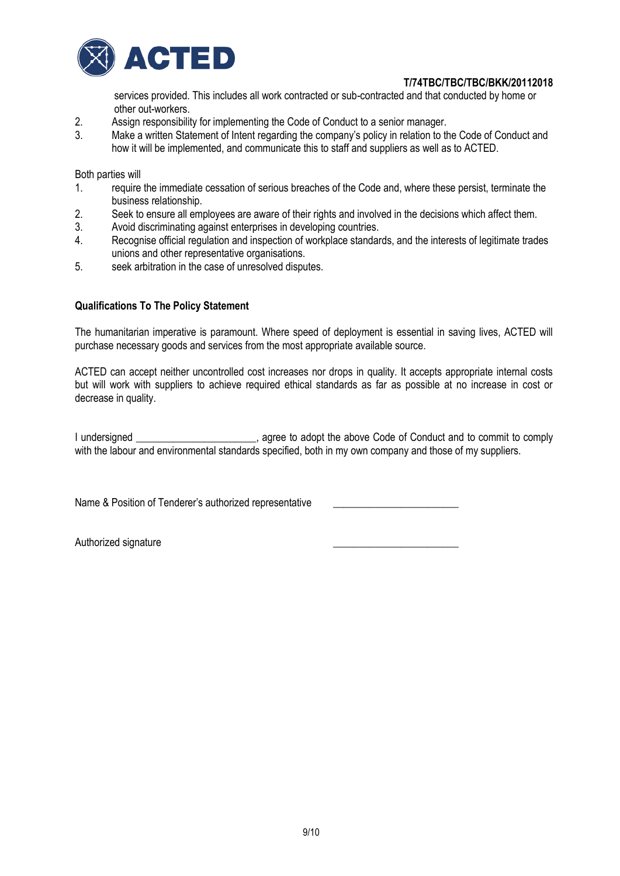

services provided. This includes all work contracted or sub-contracted and that conducted by home or

- other out-workers.<br>2. Assign responsibili 2. Assign responsibility for implementing the Code of Conduct to a senior manager.<br>3. Make a written Statement of Intent regarding the company's policy in relation to the
- Make a written Statement of Intent regarding the company's policy in relation to the Code of Conduct and how it will be implemented, and communicate this to staff and suppliers as well as to ACTED.

Both parties will

- 1. require the immediate cessation of serious breaches of the Code and, where these persist, terminate the business relationship.
- 2. Seek to ensure all employees are aware of their rights and involved in the decisions which affect them.<br>3. Avoid discriminating against enterprises in developing countries.
- Avoid discriminating against enterprises in developing countries.
- 4. Recognise official regulation and inspection of workplace standards, and the interests of legitimate trades unions and other representative organisations.
- 5. seek arbitration in the case of unresolved disputes.

# **Qualifications To The Policy Statement**

The humanitarian imperative is paramount. Where speed of deployment is essential in saving lives, ACTED will purchase necessary goods and services from the most appropriate available source.

ACTED can accept neither uncontrolled cost increases nor drops in quality. It accepts appropriate internal costs but will work with suppliers to achieve required ethical standards as far as possible at no increase in cost or decrease in quality.

I undersigned \_\_\_\_\_\_\_\_\_\_\_\_\_\_\_\_\_\_\_\_\_\_, agree to adopt the above Code of Conduct and to commit to comply with the labour and environmental standards specified, both in my own company and those of my suppliers.

Name & Position of Tenderer's authorized representative

Authorized signature